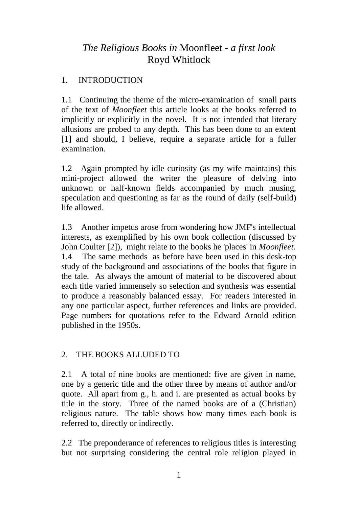# *The Religious Books in* Moonfleet *- a first look* Royd Whitlock

# 1. INTRODUCTION

1.1 Continuing the theme of the micro-examination of small parts of the text of *Moonfleet* this article looks at the books referred to implicitly or explicitly in the novel. It is not intended that literary allusions are probed to any depth. This has been done to an extent [1] and should, I believe, require a separate article for a fuller examination.

1.2 Again prompted by idle curiosity (as my wife maintains) this mini-project allowed the writer the pleasure of delving into unknown or half-known fields accompanied by much musing, speculation and questioning as far as the round of daily (self-build) life allowed.

1.3 Another impetus arose from wondering how JMF's intellectual interests, as exemplified by his own book collection (discussed by John Coulter [2]), might relate to the books he 'places' in *Moonfleet*. 1.4 The same methods as before have been used in this desk-top study of the background and associations of the books that figure in the tale. As always the amount of material to be discovered about each title varied immensely so selection and synthesis was essential to produce a reasonably balanced essay. For readers interested in any one particular aspect, further references and links are provided. Page numbers for quotations refer to the Edward Arnold edition published in the 1950s.

# 2. THE BOOKS ALLUDED TO

2.1 A total of nine books are mentioned: five are given in name, one by a generic title and the other three by means of author and/or quote. All apart from g., h. and i. are presented as actual books by title in the story. Three of the named books are of a (Christian) religious nature. The table shows how many times each book is referred to, directly or indirectly.

2.2 The preponderance of references to religious titles is interesting but not surprising considering the central role religion played in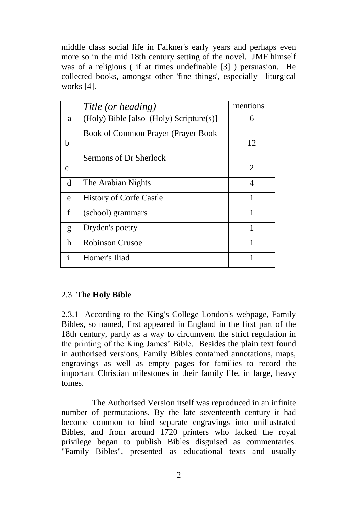middle class social life in Falkner's early years and perhaps even more so in the mid 18th century setting of the novel. JMF himself was of a religious ( if at times undefinable [3] ) persuasion. He collected books, amongst other 'fine things', especially liturgical works [4].

|              | Title (or heading)                      | mentions                    |
|--------------|-----------------------------------------|-----------------------------|
| a            | (Holy) Bible [also (Holy) Scripture(s)] | 6                           |
|              | Book of Common Prayer (Prayer Book      |                             |
| h            |                                         | 12                          |
|              | Sermons of Dr Sherlock                  |                             |
| c            |                                         | $\mathcal{D}_{\mathcal{L}}$ |
| d            | The Arabian Nights                      | 4                           |
| e            | <b>History of Corfe Castle</b>          | 1                           |
| f            | (school) grammars                       | 1                           |
| g            | Dryden's poetry                         | 1                           |
| h            | Robinson Crusoe                         | 1                           |
| $\mathbf{i}$ | Homer's Iliad                           | 1                           |
|              |                                         |                             |

# 2.3 **The Holy Bible**

2.3.1 According to the King's College London's webpage, Family Bibles, so named, first appeared in England in the first part of the 18th century, partly as a way to circumvent the strict regulation in the printing of the King James' Bible. Besides the plain text found in authorised versions, Family Bibles contained annotations, maps, engravings as well as empty pages for families to record the important Christian milestones in their family life, in large, heavy tomes.

The Authorised Version itself was reproduced in an infinite number of permutations. By the late seventeenth century it had become common to bind separate engravings into unillustrated Bibles, and from around 1720 printers who lacked the royal privilege began to publish Bibles disguised as commentaries. "Family Bibles", presented as educational texts and usually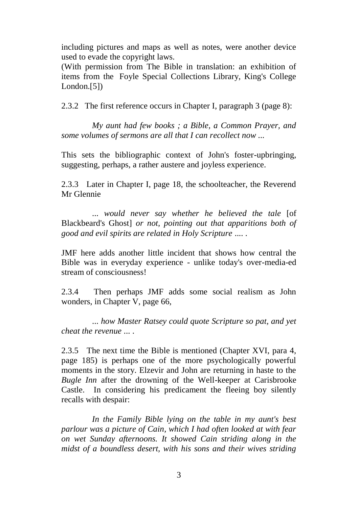including pictures and maps as well as notes, were another device used to evade the copyright laws.

(With permission from The Bible in translation: an exhibition of items from the Foyle Special Collections Library, King's College London.[5])

2.3.2 The first reference occurs in Chapter I, paragraph 3 (page 8):

*My aunt had few books ; a Bible, a Common Prayer, and some volumes of sermons are all that I can recollect now ...*

This sets the bibliographic context of John's foster-upbringing, suggesting, perhaps, a rather austere and joyless experience.

2.3.3 Later in Chapter I, page 18, the schoolteacher, the Reverend Mr Glennie

... *would never say whether he believed the tale* [of Blackbeard's Ghost] *or not, pointing out that apparitions both of good and evil spirits are related in Holy Scripture* .... .

JMF here adds another little incident that shows how central the Bible was in everyday experience - unlike today's over-media-ed stream of consciousness!

2.3.4 Then perhaps JMF adds some social realism as John wonders, in Chapter V, page 66,

... *how Master Ratsey could quote Scripture so pat, and yet cheat the revenue* ... .

2.3.5 The next time the Bible is mentioned (Chapter XVI, para 4, page 185) is perhaps one of the more psychologically powerful moments in the story. Elzevir and John are returning in haste to the *Bugle Inn* after the drowning of the Well-keeper at Carisbrooke Castle. In considering his predicament the fleeing boy silently recalls with despair:

*In the Family Bible lying on the table in my aunt's best parlour was a picture of Cain, which I had often looked at with fear on wet Sunday afternoons. It showed Cain striding along in the midst of a boundless desert, with his sons and their wives striding*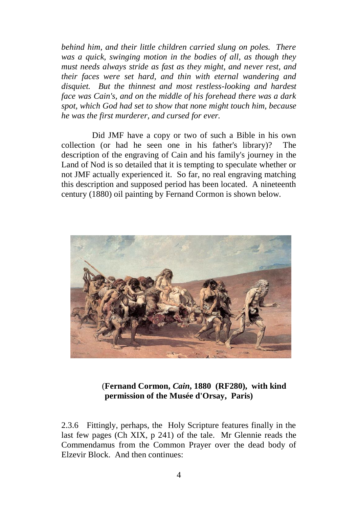*behind him, and their little children carried slung on poles. There was a quick, swinging motion in the bodies of all, as though they must needs always stride as fast as they might, and never rest, and their faces were set hard, and thin with eternal wandering and disquiet. But the thinnest and most restless-looking and hardest face was Cain's, and on the middle of his forehead there was a dark spot, which God had set to show that none might touch him, because he was the first murderer, and cursed for ever.*

Did JMF have a copy or two of such a Bible in his own collection (or had he seen one in his father's library)? The description of the engraving of Cain and his family's journey in the Land of Nod is so detailed that it is tempting to speculate whether or not JMF actually experienced it. So far, no real engraving matching this description and supposed period has been located. A nineteenth century (1880) oil painting by Fernand Cormon is shown below.



# (**Fernand Cormon,** *Cain***, 1880 (RF280), with kind permission of the Musée d'Orsay, Paris)**

2.3.6 Fittingly, perhaps, the Holy Scripture features finally in the last few pages (Ch XIX, p 241) of the tale. Mr Glennie reads the Commendamus from the Common Prayer over the dead body of Elzevir Block. And then continues: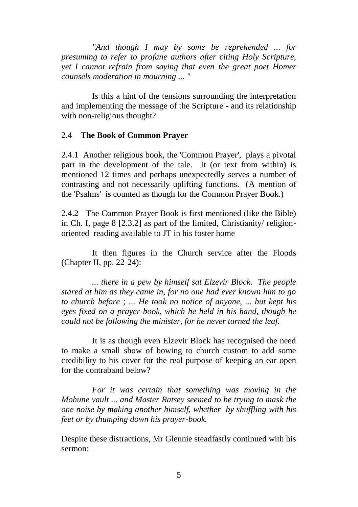*"And though I may by some be reprehended ... for presuming to refer to profane authors after citing Holy Scripture, yet I cannot refrain from saying that even the great poet Homer counsels moderation in mourning ... "* 

Is this a hint of the tensions surrounding the interpretation and implementing the message of the Scripture - and its relationship with non-religious thought?

#### 2.4 **The Book of Common Prayer**

2.4.1 Another religious book, the 'Common Prayer', plays a pivotal part in the development of the tale. It (or text from within) is mentioned 12 times and perhaps unexpectedly serves a number of contrasting and not necessarily uplifting functions. (A mention of the 'Psalms' is counted as though for the Common Prayer Book.)

2.4.2 The Common Prayer Book is first mentioned (like the Bible) in Ch. I, page 8 [2.3.2] as part of the limited, Christianity/ religionoriented reading available to JT in his foster home

It then figures in the Church service after the Floods (Chapter II, pp. 22-24):

*... there in a pew by himself sat Elzevir Block. The people stared at him as they came in, for no one had ever known him to go to church before ; ... He took no notice of anyone, ... but kept his eyes fixed on a prayer-book, which he held in his hand, though he could not be following the minister, for he never turned the leaf.* 

It is as though even Elzevir Block has recognised the need to make a small show of bowing to church custom to add some credibility to his cover for the real purpose of keeping an ear open for the contraband below?

*For it was certain that something was moving in the Mohune vault ... and Master Ratsey seemed to be trying to mask the one noise by making another himself, whether by shuffling with his feet or by thumping down his prayer-book.*

Despite these distractions, Mr Glennie steadfastly continued with his sermon: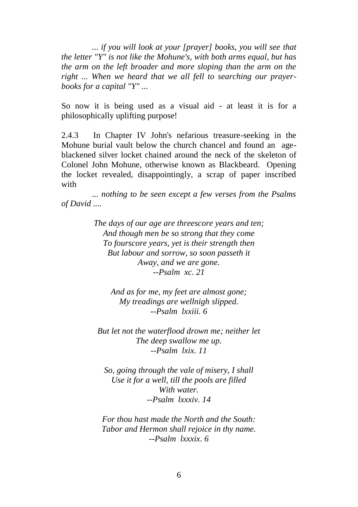*... if you will look at your [prayer] books, you will see that the letter "Y" is not like the Mohune's, with both arms equal, but has the arm on the left broader and more sloping than the arm on the right ... When we heard that we all fell to searching our prayerbooks for a capital "Y" ...*

So now it is being used as a visual aid - at least it is for a philosophically uplifting purpose!

2.4.3 In Chapter IV John's nefarious treasure-seeking in the Mohune burial vault below the church chancel and found an ageblackened silver locket chained around the neck of the skeleton of Colonel John Mohune, otherwise known as Blackbeard. Opening the locket revealed, disappointingly, a scrap of paper inscribed with

*... nothing to be seen except a few verses from the Psalms of David ....*

> *The days of our age are threescore years and ten; And though men be so strong that they come To fourscore years, yet is their strength then But labour and sorrow, so soon passeth it Away, and we are gone. --Psalm xc. 21*

*And as for me, my feet are almost gone; My treadings are wellnigh slipped. --Psalm lxxiii. 6*

*But let not the waterflood drown me; neither let The deep swallow me up. --Psalm lxix. 11*

*So, going through the vale of misery, I shall Use it for a well, till the pools are filled With water. --Psalm lxxxiv. 14*

*For thou hast made the North and the South: Tabor and Hermon shall rejoice in thy name. --Psalm lxxxix. 6*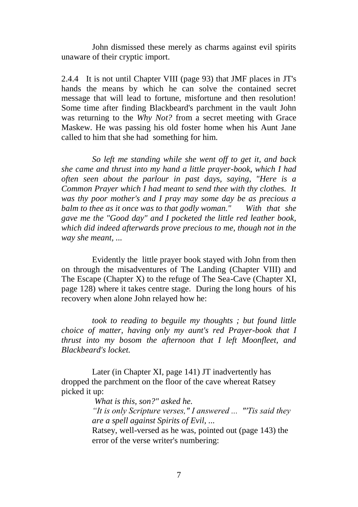John dismissed these merely as charms against evil spirits unaware of their cryptic import.

2.4.4 It is not until Chapter VIII (page 93) that JMF places in JT's hands the means by which he can solve the contained secret message that will lead to fortune, misfortune and then resolution! Some time after finding Blackbeard's parchment in the vault John was returning to the *Why Not?* from a secret meeting with Grace Maskew. He was passing his old foster home when his Aunt Jane called to him that she had something for him.

*So left me standing while she went off to get it, and back she came and thrust into my hand a little prayer-book, which I had often seen about the parlour in past days, saying, "Here is a Common Prayer which I had meant to send thee with thy clothes. It was thy poor mother's and I pray may some day be as precious a balm to thee as it once was to that godly woman." With that she gave me the "Good day" and I pocketed the little red leather book, which did indeed afterwards prove precious to me, though not in the way she meant, ...* 

Evidently the little prayer book stayed with John from then on through the misadventures of The Landing (Chapter VIII) and The Escape (Chapter X) to the refuge of The Sea-Cave (Chapter XI, page 128) where it takes centre stage. During the long hours of his recovery when alone John relayed how he:

*took to reading to beguile my thoughts ; but found little choice of matter, having only my aunt's red Prayer-book that I thrust into my bosom the afternoon that I left Moonfleet, and Blackbeard's locket.*

Later (in Chapter XI, page 141) JT inadvertently has dropped the parchment on the floor of the cave whereat Ratsey picked it up:

*What is this, son?" asked he.* 

*"It is only Scripture verses," I answered ... "'Tis said they are a spell against Spirits of Evil, ...* 

Ratsey, well-versed as he was, pointed out (page 143) the error of the verse writer's numbering: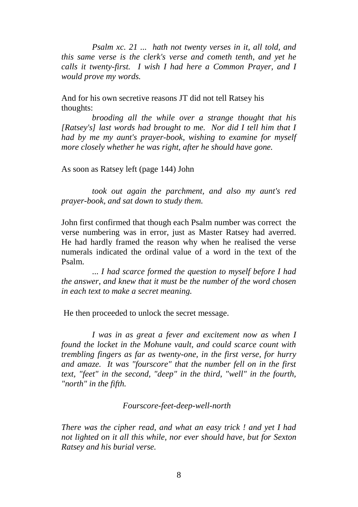*Psalm xc. 21 ... hath not twenty verses in it, all told, and this same verse is the clerk's verse and cometh tenth, and yet he calls it twenty-first. I wish I had here a Common Prayer, and I would prove my words.*

And for his own secretive reasons JT did not tell Ratsey his thoughts:

*brooding all the while over a strange thought that his [Ratsey's] last words had brought to me. Nor did I tell him that I had by me my aunt's prayer-book, wishing to examine for myself more closely whether he was right, after he should have gone.*

As soon as Ratsey left (page 144) John

*took out again the parchment, and also my aunt's red prayer-book, and sat down to study them.*

John first confirmed that though each Psalm number was correct the verse numbering was in error, just as Master Ratsey had averred. He had hardly framed the reason why when he realised the verse numerals indicated the ordinal value of a word in the text of the Psalm.

... *I had scarce formed the question to myself before I had the answer, and knew that it must be the number of the word chosen in each text to make a secret meaning.*

He then proceeded to unlock the secret message.

*I was in as great a fever and excitement now as when I found the locket in the Mohune vault, and could scarce count with trembling fingers as far as twenty-one, in the first verse, for hurry and amaze. It was "fourscore" that the number fell on in the first text, "feet" in the second, "deep" in the third, "well" in the fourth, "north" in the fifth.*

### *Fourscore-feet-deep-well-north*

*There was the cipher read, and what an easy trick ! and yet I had not lighted on it all this while, nor ever should have, but for Sexton Ratsey and his burial verse.*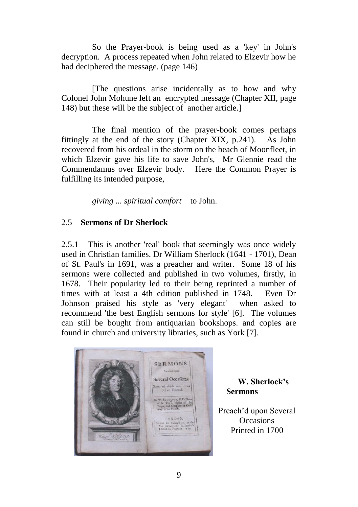So the Prayer-book is being used as a 'key' in John's decryption. A process repeated when John related to Elzevir how he had deciphered the message. (page 146)

[The questions arise incidentally as to how and why Colonel John Mohune left an encrypted message (Chapter XII, page 148) but these will be the subject of another article.]

The final mention of the prayer-book comes perhaps fittingly at the end of the story (Chapter XIX, p.241). As John recovered from his ordeal in the storm on the beach of Moonfleet, in which Elzevir gave his life to save John's, Mr Glennie read the Commendamus over Elzevir body. Here the Common Prayer is fulfilling its intended purpose,

*giving ... spiritual comfort* to John.

# 2.5 **Sermons of Dr Sherlock**

2.5.1 This is another 'real' book that seemingly was once widely used in Christian families. Dr William Sherlock (1641 - 1701), Dean of St. Paul's in 1691, was a preacher and writer. Some 18 of his sermons were collected and published in two volumes, firstly, in 1678. Their popularity led to their being reprinted a number of times with at least a 4th edition published in 1748. Even Dr Johnson praised his style as 'very elegant' when asked to recommend 'the best English sermons for style' [6]. The volumes can still be bought from antiquarian bookshops. and copies are found in church and university libraries, such as York [7].



 **W. Sherlock's Sermons**

Preach'd upon Several **Occasions** Printed in 1700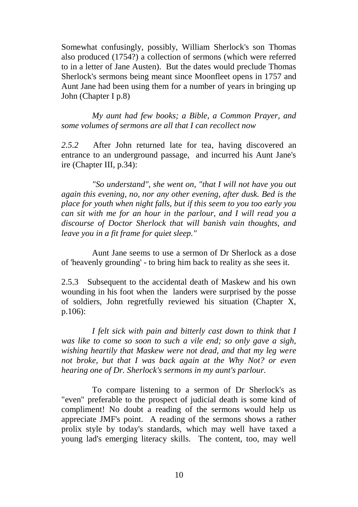Somewhat confusingly, possibly, William Sherlock's son Thomas also produced (1754?) a collection of sermons (which were referred to in a letter of Jane Austen). But the dates would preclude Thomas Sherlock's sermons being meant since Moonfleet opens in 1757 and Aunt Jane had been using them for a number of years in bringing up John (Chapter I p.8)

*My aunt had few books; a Bible, a Common Prayer, and some volumes of sermons are all that I can recollect now* 

*2.5.2* After John returned late for tea, having discovered an entrance to an underground passage, and incurred his Aunt Jane's ire (Chapter III, p.34):

*"So understand", she went on, "that I will not have you out again this evening, no, nor any other evening, after dusk. Bed is the place for youth when night falls, but if this seem to you too early you can sit with me for an hour in the parlour, and I will read you a discourse of Doctor Sherlock that will banish vain thoughts, and leave you in a fit frame for quiet sleep."*

Aunt Jane seems to use a sermon of Dr Sherlock as a dose of 'heavenly grounding' - to bring him back to reality as she sees it.

2.5.3 Subsequent to the accidental death of Maskew and his own wounding in his foot when the landers were surprised by the posse of soldiers, John regretfully reviewed his situation (Chapter X, p.106):

*I felt sick with pain and bitterly cast down to think that I was like to come so soon to such a vile end; so only gave a sigh, wishing heartily that Maskew were not dead, and that my leg were not broke, but that I was back again at the Why Not? or even hearing one of Dr. Sherlock's sermons in my aunt's parlour.*

To compare listening to a sermon of Dr Sherlock's as "even" preferable to the prospect of judicial death is some kind of compliment! No doubt a reading of the sermons would help us appreciate JMF's point. A reading of the sermons shows a rather prolix style by today's standards, which may well have taxed a young lad's emerging literacy skills. The content, too, may well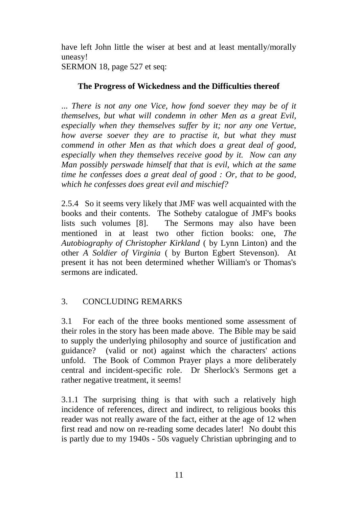have left John little the wiser at best and at least mentally/morally uneasy!

SERMON 18, page 527 et seq:

# **The Progress of Wickedness and the Difficulties thereof**

... *There is not any one Vice, how fond soever they may be of it themselves, but what will condemn in other Men as a great Evil, especially when they themselves suffer by it; nor any one Vertue, how averse soever they are to practise it, but what they must commend in other Men as that which does a great deal of good, especially when they themselves receive good by it. Now can any Man possibly perswade himself that that is evil, which at the same time he confesses does a great deal of good : Or, that to be good, which he confesses does great evil and mischief?*

2.5.4 So it seems very likely that JMF was well acquainted with the books and their contents. The Sotheby catalogue of JMF's books lists such volumes [8]. The Sermons may also have been mentioned in at least two other fiction books: one, *The Autobiography of Christopher Kirkland* ( by Lynn Linton) and the other *A Soldier of Virginia* ( by Burton Egbert Stevenson). At present it has not been determined whether William's or Thomas's sermons are indicated.

# 3. CONCLUDING REMARKS

3.1 For each of the three books mentioned some assessment of their roles in the story has been made above. The Bible may be said to supply the underlying philosophy and source of justification and guidance? (valid or not) against which the characters' actions unfold. The Book of Common Prayer plays a more deliberately central and incident-specific role. Dr Sherlock's Sermons get a rather negative treatment, it seems!

3.1.1 The surprising thing is that with such a relatively high incidence of references, direct and indirect, to religious books this reader was not really aware of the fact, either at the age of 12 when first read and now on re-reading some decades later! No doubt this is partly due to my 1940s - 50s vaguely Christian upbringing and to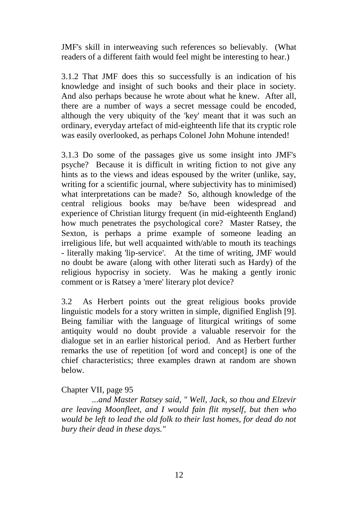JMF's skill in interweaving such references so believably. (What readers of a different faith would feel might be interesting to hear.)

3.1.2 That JMF does this so successfully is an indication of his knowledge and insight of such books and their place in society. And also perhaps because he wrote about what he knew. After all, there are a number of ways a secret message could be encoded, although the very ubiquity of the 'key' meant that it was such an ordinary, everyday artefact of mid-eighteenth life that its cryptic role was easily overlooked, as perhaps Colonel John Mohune intended!

3.1.3 Do some of the passages give us some insight into JMF's psyche? Because it is difficult in writing fiction to not give any hints as to the views and ideas espoused by the writer (unlike, say, writing for a scientific journal, where subjectivity has to minimised) what interpretations can be made? So, although knowledge of the central religious books may be/have been widespread and experience of Christian liturgy frequent (in mid-eighteenth England) how much penetrates the psychological core? Master Ratsey, the Sexton, is perhaps a prime example of someone leading an irreligious life, but well acquainted with/able to mouth its teachings - literally making 'lip-service'. At the time of writing, JMF would no doubt be aware (along with other literati such as Hardy) of the religious hypocrisy in society. Was he making a gently ironic comment or is Ratsey a 'mere' literary plot device?

3.2 As Herbert points out the great religious books provide linguistic models for a story written in simple, dignified English [9]. Being familiar with the language of liturgical writings of some antiquity would no doubt provide a valuable reservoir for the dialogue set in an earlier historical period. And as Herbert further remarks the use of repetition [of word and concept] is one of the chief characteristics; three examples drawn at random are shown below.

### Chapter VII, page 95

*...and Master Ratsey said, " Well, Jack, so thou and Elzevir are leaving Moonfleet, and I would fain flit myself, but then who would be left to lead the old folk to their last homes, for dead do not bury their dead in these days."*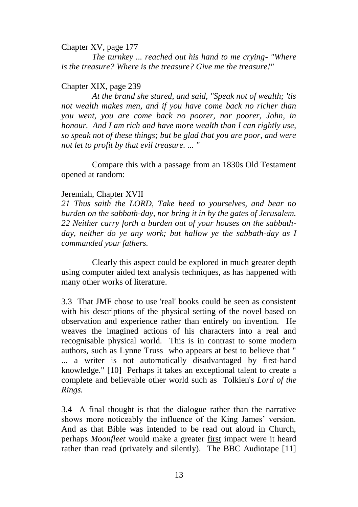Chapter XV, page 177

*The turnkey ... reached out his hand to me crying- "Where is the treasure? Where is the treasure? Give me the treasure!"*

#### Chapter XIX, page 239

*At the brand she stared, and said, "Speak not of wealth; 'tis not wealth makes men, and if you have come back no richer than you went, you are come back no poorer, nor poorer, John, in honour. And I am rich and have more wealth than I can rightly use, so speak not of these things; but be glad that you are poor, and were not let to profit by that evil treasure. ... "*

Compare this with a passage from an 1830s Old Testament opened at random:

#### Jeremiah, Chapter XVII

*21 Thus saith the LORD, Take heed to yourselves, and bear no burden on the sabbath-day, nor bring it in by the gates of Jerusalem. 22 Neither carry forth a burden out of your houses on the sabbathday, neither do ye any work; but hallow ye the sabbath-day as I commanded your fathers.*

Clearly this aspect could be explored in much greater depth using computer aided text analysis techniques, as has happened with many other works of literature.

3.3 That JMF chose to use 'real' books could be seen as consistent with his descriptions of the physical setting of the novel based on observation and experience rather than entirely on invention. He weaves the imagined actions of his characters into a real and recognisable physical world. This is in contrast to some modern authors, such as Lynne Truss who appears at best to believe that " ... a writer is not automatically disadvantaged by first-hand knowledge." [10] Perhaps it takes an exceptional talent to create a complete and believable other world such as Tolkien's *Lord of the Rings.*

3.4 A final thought is that the dialogue rather than the narrative shows more noticeably the influence of the King James' version. And as that Bible was intended to be read out aloud in Church, perhaps *Moonfleet* would make a greater first impact were it heard rather than read (privately and silently). The BBC Audiotape [11]